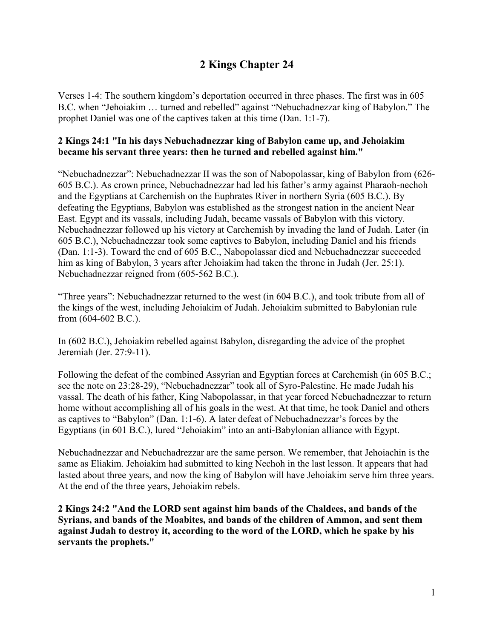# **2 Kings Chapter 24**

Verses 1-4: The southern kingdom's deportation occurred in three phases. The first was in 605 B.C. when "Jehoiakim … turned and rebelled" against "Nebuchadnezzar king of Babylon." The prophet Daniel was one of the captives taken at this time (Dan. 1:1-7).

## **2 Kings 24:1 "In his days Nebuchadnezzar king of Babylon came up, and Jehoiakim became his servant three years: then he turned and rebelled against him."**

"Nebuchadnezzar": Nebuchadnezzar II was the son of Nabopolassar, king of Babylon from (626- 605 B.C.). As crown prince, Nebuchadnezzar had led his father's army against Pharaoh-nechoh and the Egyptians at Carchemish on the Euphrates River in northern Syria (605 B.C.). By defeating the Egyptians, Babylon was established as the strongest nation in the ancient Near East. Egypt and its vassals, including Judah, became vassals of Babylon with this victory. Nebuchadnezzar followed up his victory at Carchemish by invading the land of Judah. Later (in 605 B.C.), Nebuchadnezzar took some captives to Babylon, including Daniel and his friends (Dan. 1:1-3). Toward the end of 605 B.C., Nabopolassar died and Nebuchadnezzar succeeded him as king of Babylon, 3 years after Jehoiakim had taken the throne in Judah (Jer. 25:1). Nebuchadnezzar reigned from (605-562 B.C.).

"Three years": Nebuchadnezzar returned to the west (in 604 B.C.), and took tribute from all of the kings of the west, including Jehoiakim of Judah. Jehoiakim submitted to Babylonian rule from (604-602 B.C.).

In (602 B.C.), Jehoiakim rebelled against Babylon, disregarding the advice of the prophet Jeremiah (Jer. 27:9-11).

Following the defeat of the combined Assyrian and Egyptian forces at Carchemish (in 605 B.C.; see the note on 23:28-29), "Nebuchadnezzar" took all of Syro-Palestine. He made Judah his vassal. The death of his father, King Nabopolassar, in that year forced Nebuchadnezzar to return home without accomplishing all of his goals in the west. At that time, he took Daniel and others as captives to "Babylon" (Dan. 1:1-6). A later defeat of Nebuchadnezzar's forces by the Egyptians (in 601 B.C.), lured "Jehoiakim" into an anti-Babylonian alliance with Egypt.

Nebuchadnezzar and Nebuchadrezzar are the same person. We remember, that Jehoiachin is the same as Eliakim. Jehoiakim had submitted to king Nechoh in the last lesson. It appears that had lasted about three years, and now the king of Babylon will have Jehoiakim serve him three years. At the end of the three years, Jehoiakim rebels.

**2 Kings 24:2 "And the LORD sent against him bands of the Chaldees, and bands of the Syrians, and bands of the Moabites, and bands of the children of Ammon, and sent them against Judah to destroy it, according to the word of the LORD, which he spake by his servants the prophets."**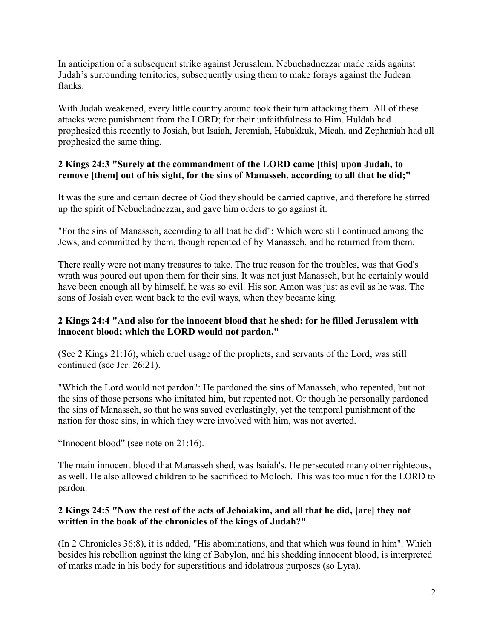In anticipation of a subsequent strike against Jerusalem, Nebuchadnezzar made raids against Judah's surrounding territories, subsequently using them to make forays against the Judean flanks.

With Judah weakened, every little country around took their turn attacking them. All of these attacks were punishment from the LORD; for their unfaithfulness to Him. Huldah had prophesied this recently to Josiah, but Isaiah, Jeremiah, Habakkuk, Micah, and Zephaniah had all prophesied the same thing.

## **2 Kings 24:3 "Surely at the commandment of the LORD came [this] upon Judah, to remove [them] out of his sight, for the sins of Manasseh, according to all that he did;"**

It was the sure and certain decree of God they should be carried captive, and therefore he stirred up the spirit of Nebuchadnezzar, and gave him orders to go against it.

"For the sins of Manasseh, according to all that he did": Which were still continued among the Jews, and committed by them, though repented of by Manasseh, and he returned from them.

There really were not many treasures to take. The true reason for the troubles, was that God's wrath was poured out upon them for their sins. It was not just Manasseh, but he certainly would have been enough all by himself, he was so evil. His son Amon was just as evil as he was. The sons of Josiah even went back to the evil ways, when they became king.

## **2 Kings 24:4 "And also for the innocent blood that he shed: for he filled Jerusalem with innocent blood; which the LORD would not pardon."**

(See 2 Kings 21:16), which cruel usage of the prophets, and servants of the Lord, was still continued (see Jer. 26:21).

"Which the Lord would not pardon": He pardoned the sins of Manasseh, who repented, but not the sins of those persons who imitated him, but repented not. Or though he personally pardoned the sins of Manasseh, so that he was saved everlastingly, yet the temporal punishment of the nation for those sins, in which they were involved with him, was not averted.

"Innocent blood" (see note on 21:16).

The main innocent blood that Manasseh shed, was Isaiah's. He persecuted many other righteous, as well. He also allowed children to be sacrificed to Moloch. This was too much for the LORD to pardon.

## **2 Kings 24:5 "Now the rest of the acts of Jehoiakim, and all that he did, [are] they not written in the book of the chronicles of the kings of Judah?"**

(In 2 Chronicles 36:8), it is added, "His abominations, and that which was found in him". Which besides his rebellion against the king of Babylon, and his shedding innocent blood, is interpreted of marks made in his body for superstitious and idolatrous purposes (so Lyra).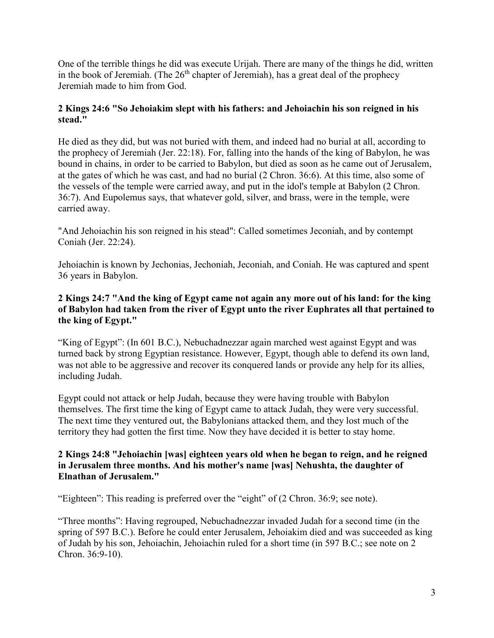One of the terrible things he did was execute Urijah. There are many of the things he did, written in the book of Jeremiah. (The  $26<sup>th</sup>$  chapter of Jeremiah), has a great deal of the prophecy Jeremiah made to him from God.

## **2 Kings 24:6 "So Jehoiakim slept with his fathers: and Jehoiachin his son reigned in his stead."**

He died as they did, but was not buried with them, and indeed had no burial at all, according to the prophecy of Jeremiah (Jer. 22:18). For, falling into the hands of the king of Babylon, he was bound in chains, in order to be carried to Babylon, but died as soon as he came out of Jerusalem, at the gates of which he was cast, and had no burial (2 Chron. 36:6). At this time, also some of the vessels of the temple were carried away, and put in the idol's temple at Babylon (2 Chron. 36:7). And Eupolemus says, that whatever gold, silver, and brass, were in the temple, were carried away.

"And Jehoiachin his son reigned in his stead": Called sometimes Jeconiah, and by contempt Coniah (Jer. 22:24).

Jehoiachin is known by Jechonias, Jechoniah, Jeconiah, and Coniah. He was captured and spent 36 years in Babylon.

#### **2 Kings 24:7 "And the king of Egypt came not again any more out of his land: for the king of Babylon had taken from the river of Egypt unto the river Euphrates all that pertained to the king of Egypt."**

"King of Egypt": (In 601 B.C.), Nebuchadnezzar again marched west against Egypt and was turned back by strong Egyptian resistance. However, Egypt, though able to defend its own land, was not able to be aggressive and recover its conquered lands or provide any help for its allies, including Judah.

Egypt could not attack or help Judah, because they were having trouble with Babylon themselves. The first time the king of Egypt came to attack Judah, they were very successful. The next time they ventured out, the Babylonians attacked them, and they lost much of the territory they had gotten the first time. Now they have decided it is better to stay home.

## **2 Kings 24:8 "Jehoiachin [was] eighteen years old when he began to reign, and he reigned in Jerusalem three months. And his mother's name [was] Nehushta, the daughter of Elnathan of Jerusalem."**

"Eighteen": This reading is preferred over the "eight" of (2 Chron. 36:9; see note).

"Three months": Having regrouped, Nebuchadnezzar invaded Judah for a second time (in the spring of 597 B.C.). Before he could enter Jerusalem, Jehoiakim died and was succeeded as king of Judah by his son, Jehoiachin, Jehoiachin ruled for a short time (in 597 B.C.; see note on 2 Chron. 36:9-10).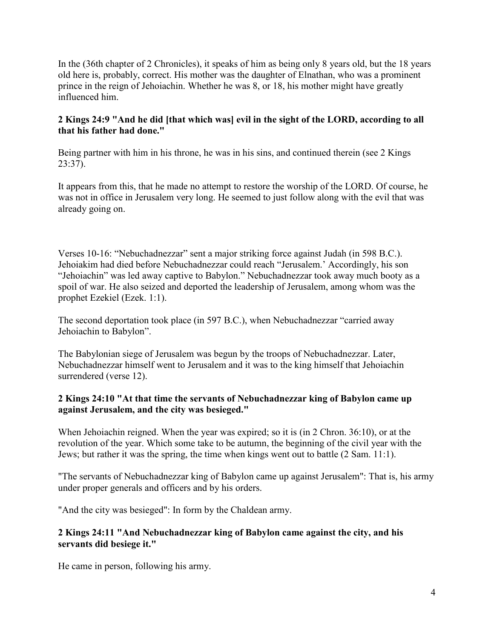In the (36th chapter of 2 Chronicles), it speaks of him as being only 8 years old, but the 18 years old here is, probably, correct. His mother was the daughter of Elnathan, who was a prominent prince in the reign of Jehoiachin. Whether he was 8, or 18, his mother might have greatly influenced him.

## **2 Kings 24:9 "And he did [that which was] evil in the sight of the LORD, according to all that his father had done."**

Being partner with him in his throne, he was in his sins, and continued therein (see 2 Kings 23:37).

It appears from this, that he made no attempt to restore the worship of the LORD. Of course, he was not in office in Jerusalem very long. He seemed to just follow along with the evil that was already going on.

Verses 10-16: "Nebuchadnezzar" sent a major striking force against Judah (in 598 B.C.). Jehoiakim had died before Nebuchadnezzar could reach "Jerusalem.' Accordingly, his son "Jehoiachin" was led away captive to Babylon." Nebuchadnezzar took away much booty as a spoil of war. He also seized and deported the leadership of Jerusalem, among whom was the prophet Ezekiel (Ezek. 1:1).

The second deportation took place (in 597 B.C.), when Nebuchadnezzar "carried away Jehoiachin to Babylon".

The Babylonian siege of Jerusalem was begun by the troops of Nebuchadnezzar. Later, Nebuchadnezzar himself went to Jerusalem and it was to the king himself that Jehoiachin surrendered (verse 12).

## **2 Kings 24:10 "At that time the servants of Nebuchadnezzar king of Babylon came up against Jerusalem, and the city was besieged."**

When Jehoiachin reigned. When the year was expired; so it is (in 2 Chron. 36:10), or at the revolution of the year. Which some take to be autumn, the beginning of the civil year with the Jews; but rather it was the spring, the time when kings went out to battle (2 Sam. 11:1).

"The servants of Nebuchadnezzar king of Babylon came up against Jerusalem": That is, his army under proper generals and officers and by his orders.

"And the city was besieged": In form by the Chaldean army.

## **2 Kings 24:11 "And Nebuchadnezzar king of Babylon came against the city, and his servants did besiege it."**

He came in person, following his army.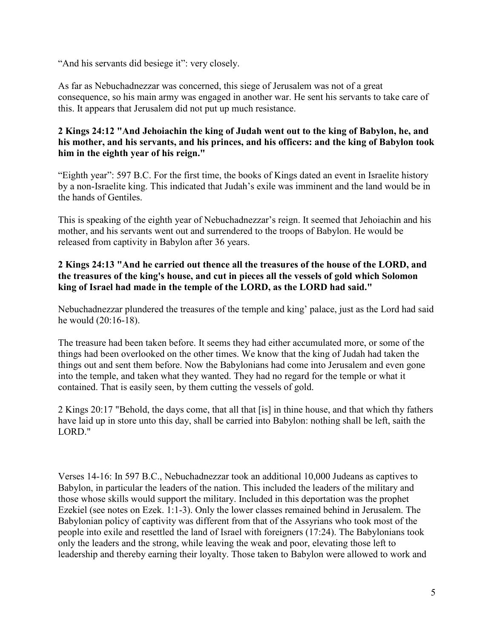"And his servants did besiege it": very closely.

As far as Nebuchadnezzar was concerned, this siege of Jerusalem was not of a great consequence, so his main army was engaged in another war. He sent his servants to take care of this. It appears that Jerusalem did not put up much resistance.

## **2 Kings 24:12 "And Jehoiachin the king of Judah went out to the king of Babylon, he, and his mother, and his servants, and his princes, and his officers: and the king of Babylon took him in the eighth year of his reign."**

"Eighth year": 597 B.C. For the first time, the books of Kings dated an event in Israelite history by a non-Israelite king. This indicated that Judah's exile was imminent and the land would be in the hands of Gentiles.

This is speaking of the eighth year of Nebuchadnezzar's reign. It seemed that Jehoiachin and his mother, and his servants went out and surrendered to the troops of Babylon. He would be released from captivity in Babylon after 36 years.

## **2 Kings 24:13 "And he carried out thence all the treasures of the house of the LORD, and the treasures of the king's house, and cut in pieces all the vessels of gold which Solomon king of Israel had made in the temple of the LORD, as the LORD had said."**

Nebuchadnezzar plundered the treasures of the temple and king' palace, just as the Lord had said he would (20:16-18).

The treasure had been taken before. It seems they had either accumulated more, or some of the things had been overlooked on the other times. We know that the king of Judah had taken the things out and sent them before. Now the Babylonians had come into Jerusalem and even gone into the temple, and taken what they wanted. They had no regard for the temple or what it contained. That is easily seen, by them cutting the vessels of gold.

2 Kings 20:17 "Behold, the days come, that all that [is] in thine house, and that which thy fathers have laid up in store unto this day, shall be carried into Babylon: nothing shall be left, saith the LORD."

Verses 14-16: In 597 B.C., Nebuchadnezzar took an additional 10,000 Judeans as captives to Babylon, in particular the leaders of the nation. This included the leaders of the military and those whose skills would support the military. Included in this deportation was the prophet Ezekiel (see notes on Ezek. 1:1-3). Only the lower classes remained behind in Jerusalem. The Babylonian policy of captivity was different from that of the Assyrians who took most of the people into exile and resettled the land of Israel with foreigners (17:24). The Babylonians took only the leaders and the strong, while leaving the weak and poor, elevating those left to leadership and thereby earning their loyalty. Those taken to Babylon were allowed to work and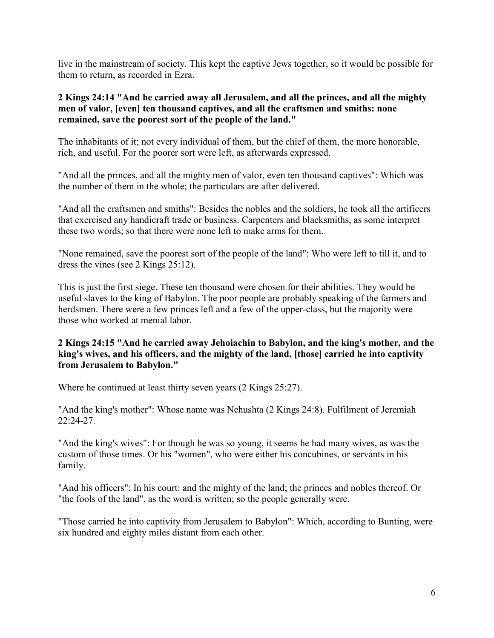live in the mainstream of society. This kept the captive Jews together, so it would be possible for them to return, as recorded in Ezra.

#### **2 Kings 24:14 "And he carried away all Jerusalem, and all the princes, and all the mighty men of valor, [even] ten thousand captives, and all the craftsmen and smiths: none remained, save the poorest sort of the people of the land."**

The inhabitants of it; not every individual of them, but the chief of them, the more honorable, rich, and useful. For the poorer sort were left, as afterwards expressed.

"And all the princes, and all the mighty men of valor, even ten thousand captives": Which was the number of them in the whole; the particulars are after delivered.

"And all the craftsmen and smiths": Besides the nobles and the soldiers, he took all the artificers that exercised any handicraft trade or business. Carpenters and blacksmiths, as some interpret these two words; so that there were none left to make arms for them.

"None remained, save the poorest sort of the people of the land": Who were left to till it, and to dress the vines (see 2 Kings 25:12).

This is just the first siege. These ten thousand were chosen for their abilities. They would be useful slaves to the king of Babylon. The poor people are probably speaking of the farmers and herdsmen. There were a few princes left and a few of the upper-class, but the majority were those who worked at menial labor.

## **2 Kings 24:15 "And he carried away Jehoiachin to Babylon, and the king's mother, and the king's wives, and his officers, and the mighty of the land, [those] carried he into captivity from Jerusalem to Babylon."**

Where he continued at least thirty seven years (2 Kings 25:27).

"And the king's mother": Whose name was Nehushta (2 Kings 24:8). Fulfilment of Jeremiah 22:24-27.

"And the king's wives": For though he was so young, it seems he had many wives, as was the custom of those times. Or his "women", who were either his concubines, or servants in his family.

"And his officers": In his court: and the mighty of the land; the princes and nobles thereof. Or "the fools of the land", as the word is written; so the people generally were.

"Those carried he into captivity from Jerusalem to Babylon": Which, according to Bunting, were six hundred and eighty miles distant from each other.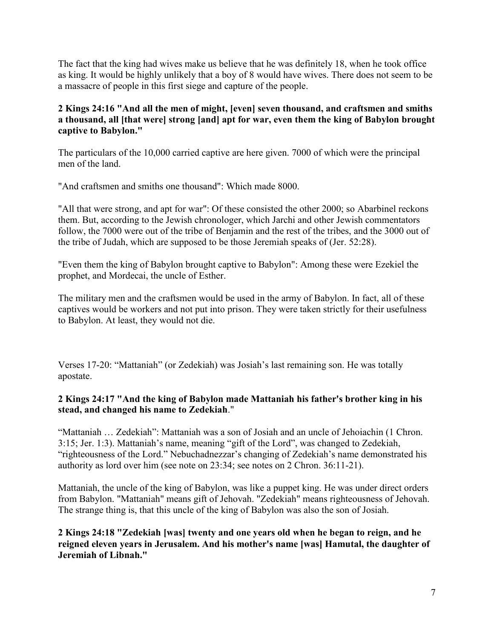The fact that the king had wives make us believe that he was definitely 18, when he took office as king. It would be highly unlikely that a boy of 8 would have wives. There does not seem to be a massacre of people in this first siege and capture of the people.

## **2 Kings 24:16 "And all the men of might, [even] seven thousand, and craftsmen and smiths a thousand, all [that were] strong [and] apt for war, even them the king of Babylon brought captive to Babylon."**

The particulars of the 10,000 carried captive are here given. 7000 of which were the principal men of the land.

"And craftsmen and smiths one thousand": Which made 8000.

"All that were strong, and apt for war": Of these consisted the other 2000; so Abarbinel reckons them. But, according to the Jewish chronologer, which Jarchi and other Jewish commentators follow, the 7000 were out of the tribe of Benjamin and the rest of the tribes, and the 3000 out of the tribe of Judah, which are supposed to be those Jeremiah speaks of (Jer. 52:28).

"Even them the king of Babylon brought captive to Babylon": Among these were Ezekiel the prophet, and Mordecai, the uncle of Esther.

The military men and the craftsmen would be used in the army of Babylon. In fact, all of these captives would be workers and not put into prison. They were taken strictly for their usefulness to Babylon. At least, they would not die.

Verses 17-20: "Mattaniah" (or Zedekiah) was Josiah's last remaining son. He was totally apostate.

## **2 Kings 24:17 "And the king of Babylon made Mattaniah his father's brother king in his stead, and changed his name to Zedekiah**."

"Mattaniah … Zedekiah": Mattaniah was a son of Josiah and an uncle of Jehoiachin (1 Chron. 3:15; Jer. 1:3). Mattaniah's name, meaning "gift of the Lord", was changed to Zedekiah, "righteousness of the Lord." Nebuchadnezzar's changing of Zedekiah's name demonstrated his authority as lord over him (see note on 23:34; see notes on 2 Chron. 36:11-21).

Mattaniah, the uncle of the king of Babylon, was like a puppet king. He was under direct orders from Babylon. "Mattaniah" means gift of Jehovah. "Zedekiah" means righteousness of Jehovah. The strange thing is, that this uncle of the king of Babylon was also the son of Josiah.

**2 Kings 24:18 "Zedekiah [was] twenty and one years old when he began to reign, and he reigned eleven years in Jerusalem. And his mother's name [was] Hamutal, the daughter of Jeremiah of Libnah."**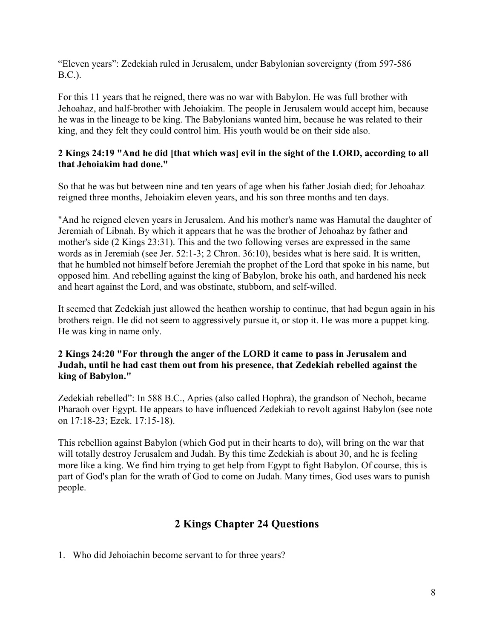"Eleven years": Zedekiah ruled in Jerusalem, under Babylonian sovereignty (from 597-586 B.C.).

For this 11 years that he reigned, there was no war with Babylon. He was full brother with Jehoahaz, and half-brother with Jehoiakim. The people in Jerusalem would accept him, because he was in the lineage to be king. The Babylonians wanted him, because he was related to their king, and they felt they could control him. His youth would be on their side also.

#### **2 Kings 24:19 "And he did [that which was] evil in the sight of the LORD, according to all that Jehoiakim had done."**

So that he was but between nine and ten years of age when his father Josiah died; for Jehoahaz reigned three months, Jehoiakim eleven years, and his son three months and ten days.

"And he reigned eleven years in Jerusalem. And his mother's name was Hamutal the daughter of Jeremiah of Libnah. By which it appears that he was the brother of Jehoahaz by father and mother's side (2 Kings 23:31). This and the two following verses are expressed in the same words as in Jeremiah (see Jer. 52:1-3; 2 Chron. 36:10), besides what is here said. It is written, that he humbled not himself before Jeremiah the prophet of the Lord that spoke in his name, but opposed him. And rebelling against the king of Babylon, broke his oath, and hardened his neck and heart against the Lord, and was obstinate, stubborn, and self-willed.

It seemed that Zedekiah just allowed the heathen worship to continue, that had begun again in his brothers reign. He did not seem to aggressively pursue it, or stop it. He was more a puppet king. He was king in name only.

#### **2 Kings 24:20 "For through the anger of the LORD it came to pass in Jerusalem and Judah, until he had cast them out from his presence, that Zedekiah rebelled against the king of Babylon."**

Zedekiah rebelled": In 588 B.C., Apries (also called Hophra), the grandson of Nechoh, became Pharaoh over Egypt. He appears to have influenced Zedekiah to revolt against Babylon (see note on 17:18-23; Ezek. 17:15-18).

This rebellion against Babylon (which God put in their hearts to do), will bring on the war that will totally destroy Jerusalem and Judah. By this time Zedekiah is about 30, and he is feeling more like a king. We find him trying to get help from Egypt to fight Babylon. Of course, this is part of God's plan for the wrath of God to come on Judah. Many times, God uses wars to punish people.

## **2 Kings Chapter 24 Questions**

1. Who did Jehoiachin become servant to for three years?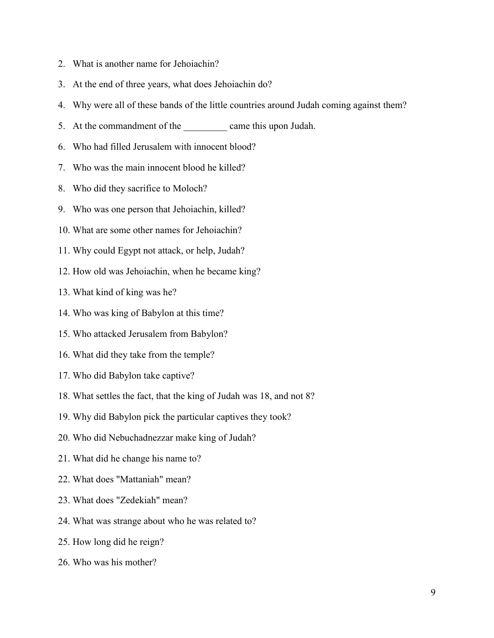- 2. What is another name for Jehoiachin?
- 3. At the end of three years, what does Jehoiachin do?
- 4. Why were all of these bands of the little countries around Judah coming against them?
- 5. At the commandment of the came this upon Judah.
- 6. Who had filled Jerusalem with innocent blood?
- 7. Who was the main innocent blood he killed?
- 8. Who did they sacrifice to Moloch?
- 9. Who was one person that Jehoiachin, killed?
- 10. What are some other names for Jehoiachin?
- 11. Why could Egypt not attack, or help, Judah?
- 12. How old was Jehoiachin, when he became king?
- 13. What kind of king was he?
- 14. Who was king of Babylon at this time?
- 15. Who attacked Jerusalem from Babylon?
- 16. What did they take from the temple?
- 17. Who did Babylon take captive?
- 18. What settles the fact, that the king of Judah was 18, and not 8?
- 19. Why did Babylon pick the particular captives they took?
- 20. Who did Nebuchadnezzar make king of Judah?
- 21. What did he change his name to?
- 22. What does "Mattaniah" mean?
- 23. What does "Zedekiah" mean?
- 24. What was strange about who he was related to?
- 25. How long did he reign?
- 26. Who was his mother?